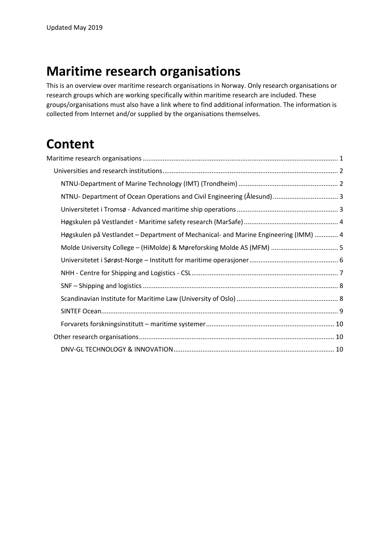# <span id="page-0-0"></span>**Maritime research organisations**

This is an overview over maritime research organisations in Norway. Only research organisations or research groups which are working specifically within maritime research are included. These groups/organisations must also have a link where to find additional information. The information is collected from Internet and/or supplied by the organisations themselves.

# **Content**

| Høgskulen på Vestlandet – Department of Mechanical- and Marine Engineering (IMM)  4 |  |
|-------------------------------------------------------------------------------------|--|
|                                                                                     |  |
|                                                                                     |  |
|                                                                                     |  |
|                                                                                     |  |
|                                                                                     |  |
|                                                                                     |  |
|                                                                                     |  |
|                                                                                     |  |
|                                                                                     |  |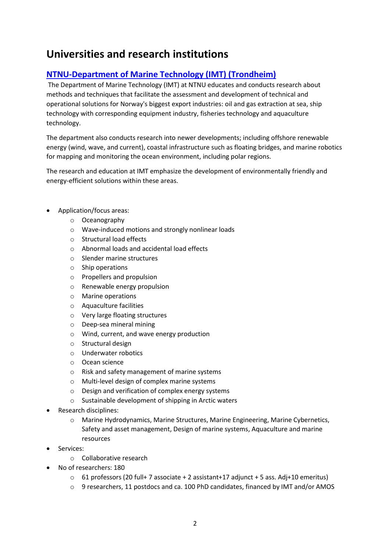# <span id="page-1-0"></span>**Universities and research institutions**

# <span id="page-1-1"></span>**[NTNU-Department of Marine Technology \(IMT\) \(Trondheim\)](https://www.ntnu.edu/imt)**

The Department of Marine Technology (IMT) at NTNU educates and conducts research about methods and techniques that facilitate the assessment and development of technical and operational solutions for Norway's biggest export industries: oil and gas extraction at sea, ship technology with corresponding equipment industry, fisheries technology and aquaculture technology.

The department also conducts research into newer developments; including offshore renewable energy (wind, wave, and current), coastal infrastructure such as floating bridges, and marine robotics for mapping and monitoring the ocean environment, including polar regions.

The research and education at IMT emphasize the development of environmentally friendly and energy-efficient solutions within these areas.

- Application/focus areas:
	- o Oceanography
	- o Wave-induced motions and strongly nonlinear loads
	- o Structural load effects
	- o Abnormal loads and accidental load effects
	- o Slender marine structures
	- o Ship operations
	- o Propellers and propulsion
	- o Renewable energy propulsion
	- o Marine operations
	- o Aquaculture facilities
	- o Very large floating structures
	- o Deep-sea mineral mining
	- o Wind, current, and wave energy production
	- o Structural design
	- o Underwater robotics
	- o Ocean science
	- o Risk and safety management of marine systems
	- o Multi-level design of complex marine systems
	- o Design and verification of complex energy systems
	- o Sustainable development of shipping in Arctic waters
- Research disciplines:
	- o Marine Hydrodynamics, Marine Structures, Marine Engineering, Marine Cybernetics, Safety and asset management, Design of marine systems, Aquaculture and marine resources
- Services:
	- o Collaborative research
- No of researchers: 180
	- $\circ$  61 professors (20 full+ 7 associate + 2 assistant+17 adjunct + 5 ass. Adj+10 emeritus)
	- o 9 researchers, 11 postdocs and ca. 100 PhD candidates, financed by IMT and/or AMOS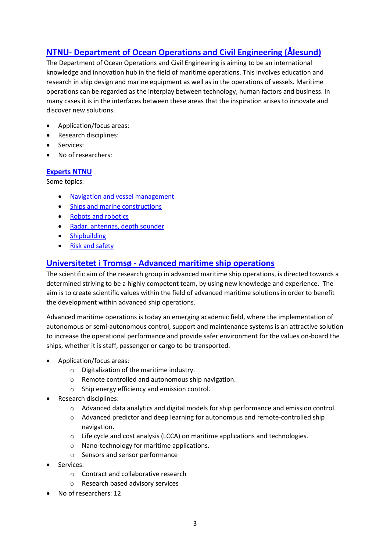# <span id="page-2-0"></span>**NTNU- [Department of Ocean Operations and Civil Engineering](https://www.ntnu.edu/ihb) (Ålesund)**

The Department of Ocean Operations and Civil Engineering is aiming to be an international knowledge and innovation hub in the field of maritime operations. This involves education and research in ship design and marine equipment as well as in the operations of vessels. Maritime operations can be regarded as the interplay between technology, human factors and business. In many cases it is in the interfaces between these areas that the inspiration arises to innovate and discover new solutions.

- Application/focus areas:
- Research disciplines:
- Services:
- No of researchers:

### **[Experts](https://www.ntnu.no/forskning/eksperter/marin-maritim) NTNU**

Some topics:

- [Navigation and vessel management](https://www.ntnu.no/forskning/eksperter/navigasjon)
- [Ships and marine constructions](https://www.ntnu.no/forskning/eksperter/skip)
- [Robots and robotics](https://www.ntnu.no/forskning/eksperter/roboter)
- [Radar, antennas, depth sounder](https://www.ntnu.no/forskning/eksperter/radar-antenner-ekkolodd)
- [Shipbuilding](https://www.ntnu.no/forskning/eksperter/skipsbygging)
- [Risk and safety](https://www.ntnu.no/forskning/eksperter/risiko-sikkerhet)

## <span id="page-2-1"></span>**Universitetet i Tromsø - [Advanced maritime ship operations](https://en.uit.no/forskning/forskningsgrupper/gruppe?p_document_id=489544)**

The scientific aim of the research group in advanced maritime ship operations, is directed towards a determined striving to be a highly competent team, by using new knowledge and experience. The aim is to create scientific values within the field of advanced maritime solutions in order to benefit the development within advanced ship operations.

Advanced maritime operations is today an emerging academic field, where the implementation of autonomous or semi-autonomous control, support and maintenance systems is an attractive solution to increase the operational performance and provide safer environment for the values on-board the ships, whether it is staff, passenger or cargo to be transported.

- Application/focus areas:
	- o Digitalization of the maritime industry.
	- o Remote controlled and autonomous ship navigation.
	- o Ship energy efficiency and emission control.
- Research disciplines:
	- $\circ$  Advanced data analytics and digital models for ship performance and emission control.
	- o Advanced predictor and deep learning for autonomous and remote-controlled ship navigation.
	- o Life cycle and cost analysis (LCCA) on maritime applications and technologies.
	- o Nano-technology for maritime applications.
	- o Sensors and sensor performance
- Services:
	- o Contract and collaborative research
	- o Research based advisory services
- No of researchers: 12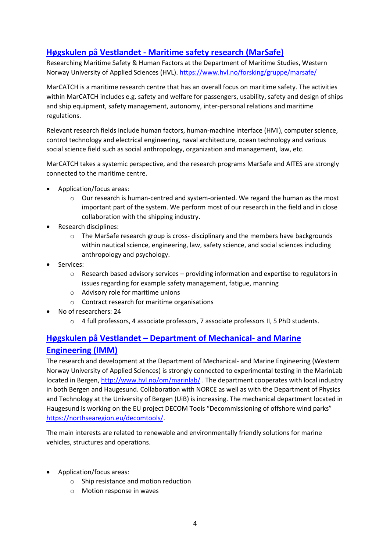# <span id="page-3-0"></span>**Høgskulen på Vestlandet - [Maritime safety research \(MarSafe\)](https://marsafe.azurewebsites.net/)**

Researching Maritime Safety & Human Factors at the Department of Maritime Studies, Western Norway University of Applied Sciences (HVL).<https://www.hvl.no/forsking/gruppe/marsafe/>

MarCATCH is a maritime research centre that has an overall focus on maritime safety. The activities within MarCATCH includes e.g. safety and welfare for passengers, usability, safety and design of ships and ship equipment, safety management, autonomy, inter-personal relations and maritime regulations.

Relevant research fields include human factors, human-machine interface (HMI), computer science, control technology and electrical engineering, naval architecture, ocean technology and various social science field such as social anthropology, organization and management, law, etc.

MarCATCH takes a systemic perspective, and the research programs MarSafe and AITES are strongly connected to the maritime centre.

- Application/focus areas:
	- Our research is human-centred and system-oriented. We regard the human as the most important part of the system. We perform most of our research in the field and in close collaboration with the shipping industry.
- Research disciplines:
	- o The MarSafe research group is cross- disciplinary and the members have backgrounds within nautical science, engineering, law, safety science, and social sciences including anthropology and psychology.
- Services:
	- o Research based advisory services providing information and expertise to regulators in issues regarding for example safety management, fatigue, manning
	- o Advisory role for maritime unions
	- o Contract research for maritime organisations
- No of researchers: 24
	- $\circ$  4 full professors, 4 associate professors, 7 associate professors II, 5 PhD students.

# <span id="page-3-1"></span>**Høgskulen på Vestlandet – [Department of Mechanical-](http://www.hvl.no/imm) and Marine [Engineering \(IMM\)](http://www.hvl.no/imm)**

The research and development at the Department of Mechanical- and Marine Engineering (Western Norway University of Applied Sciences) is strongly connected to experimental testing in the MarinLab located in Bergen,<http://www.hvl.no/om/marinlab/> . The department cooperates with local industry in both Bergen and Haugesund. Collaboration with NORCE as well as with the Department of Physics and Technology at the University of Bergen (UiB) is increasing. The mechanical department located in Haugesund is working on the EU project DECOM Tools "Decommissioning of offshore wind parks" [https://northsearegion.eu/decomtools/.](https://northsearegion.eu/decomtools/)

The main interests are related to renewable and environmentally friendly solutions for marine vehicles, structures and operations.

- Application/focus areas:
	- o Ship resistance and motion reduction
	- o Motion response in waves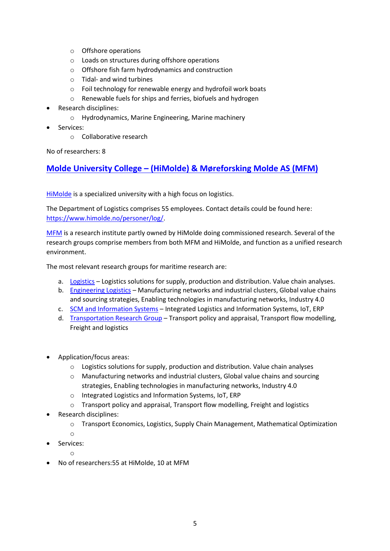- o Offshore operations
- o Loads on structures during offshore operations
- o Offshore fish farm hydrodynamics and construction
- o Tidal- and wind turbines
- o Foil technology for renewable energy and hydrofoil work boats
- o Renewable fuels for ships and ferries, biofuels and hydrogen
- Research disciplines:
	- o Hydrodynamics, Marine Engineering, Marine machinery
- Services:
	- o Collaborative research

No of researchers: 8

# <span id="page-4-0"></span>**[Molde](https://www.himolde.no/) University College – (HiMolde) & Møreforsking Molde AS (MFM)**

[HiMolde](https://www.himolde.no/english/) is a specialized university with a high focus on logistics.

The Department of Logistics comprises 55 employees. Contact details could be found here: [https://www.himolde.no/personer/log/.](https://www.himolde.no/personer/log/)

[MFM](http://www.moreforsk.com/) is a research institute partly owned by HiMolde doing commissioned research. Several of the research groups comprise members from both MFM and HiMolde, and function as a unified research environment.

The most relevant research groups for maritime research are:

- a. [Logistics](https://www.himolde.no/forskning/grupper/logistics/index.html) Logistics solutions for supply, production and distribution. Value chain analyses.
- b. [Engineering Logistics](https://www.himolde.no/english/research/research-groups/engineering-logistics/) Manufacturing networks and industrial clusters, Global value chains and sourcing strategies, Enabling technologies in manufacturing networks, Industry 4.0
- c. [SCM and Information Systems](https://www.himolde.no/forskning/grupper/scm-and-information-systems/) Integrated Logistics and Information Systems, IoT, ERP
- d. [Transportation Research Group](https://www.himolde.no/forskning/grupper/transportgruppen/) Transport policy and appraisal, Transport flow modelling, Freight and logistics
- Application/focus areas:
	- $\circ$  Logistics solutions for supply, production and distribution. Value chain analyses
	- o Manufacturing networks and industrial clusters, Global value chains and sourcing strategies, Enabling technologies in manufacturing networks, Industry 4.0
	- o Integrated Logistics and Information Systems, IoT, ERP
	- o Transport policy and appraisal, Transport flow modelling, Freight and logistics
- Research disciplines:
	- o Transport Economics, Logistics, Supply Chain Management, Mathematical Optimization
	- o
- Services:
	- o
- No of researchers:55 at HiMolde, 10 at MFM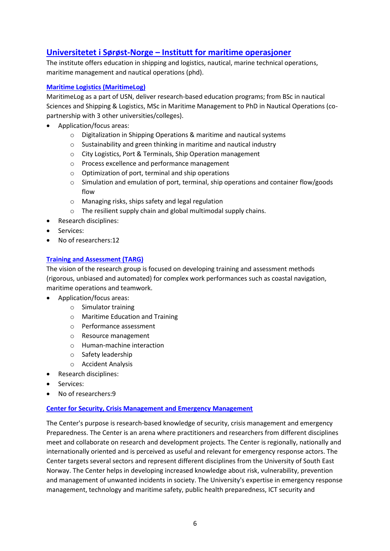# <span id="page-5-0"></span>**Universitetet i Sørøst-Norge – [Institutt for maritime operasjoner](https://www.usn.no/om-usn/organisering/fakultetene/fakultet-for-teknologi-naturvitenskap-og-maritime-fag/institutt-for-maritime-operasjoner/)**

The institute offers education in shipping and logistics, nautical, marine technical operations, maritime management and nautical operations (phd).

### **[Maritime Logistics](https://www.usn.no/english/research/our-research/maritime-enterprise/maritime-logistics-research/) (MaritimeLog)**

MaritimeLog as a part of USN, deliver research-based education programs; from BSc in nautical Sciences and Shipping & Logistics, MSc in Maritime Management to PhD in Nautical Operations (copartnership with 3 other universities/colleges).

- Application/focus areas:
	- o Digitalization in Shipping Operations & maritime and nautical systems
	- o Sustainability and green thinking in maritime and nautical industry
	- o City Logistics, Port & Terminals, Ship Operation management
	- o Process excellence and performance management
	- o Optimization of port, terminal and ship operations
	- o Simulation and emulation of port, terminal, ship operations and container flow/goods flow
	- o Managing risks, ships safety and legal regulation
	- o The resilient supply chain and global multimodal supply chains.
- Research disciplines:
- Services:
- No of researchers:12

#### **[Training and Assessment](https://www.usn.no/forskning/hva-forsker-vi-pa/maritim-virksomhet/training-and-assessment/) (TARG)**

The vision of the research group is focused on developing training and assessment methods (rigorous, unbiased and automated) for complex work performances such as coastal navigation, maritime operations and teamwork.

- Application/focus areas:
	- o Simulator training
	- o Maritime Education and Training
	- o Performance assessment
	- o Resource management
	- o Human-machine interaction
	- o Safety leadership
	- o Accident Analysis
- Research disciplines:
- Services:
- No of researchers:9

#### **Center [for Security, Crisis Management and Emergency Management](https://www.usn.no/forskning/hva-forsker-vi-pa/okonomi-ledelse-og-politikk/sikkerhet-krisehandtering-og-beredskapsledelse/)**

The Center's purpose is research-based knowledge of security, crisis management and emergency Preparedness. The Center is an arena where practitioners and researchers from different disciplines meet and collaborate on research and development projects. The Center is regionally, nationally and internationally oriented and is perceived as useful and relevant for emergency response actors. The Center targets several sectors and represent different disciplines from the University of South East Norway. The Center helps in developing increased knowledge about risk, vulnerability, prevention and management of unwanted incidents in society. The University's expertise in emergency response management, technology and maritime safety, public health preparedness, ICT security and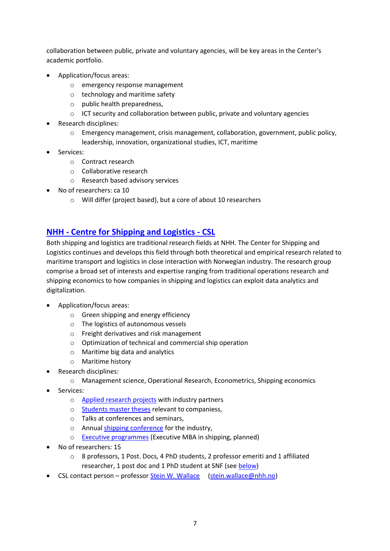collaboration between public, private and voluntary agencies, will be key areas in the Center's academic portfolio.

- Application/focus areas:
	- o emergency response management
	- o technology and maritime safety
	- o public health preparedness,
	- $\circ$  ICT security and collaboration between public, private and voluntary agencies
- Research disciplines:
	- $\circ$  Emergency management, crisis management, collaboration, government, public policy, leadership, innovation, organizational studies, ICT, maritime
- Services:
	- o Contract research
	- o Collaborative research
	- o Research based advisory services
- No of researchers: ca 10
	- o Will differ (project based), but a core of about 10 researchers

# <span id="page-6-0"></span>**NHH - [Centre for Shipping and Logistics](https://www.nhh.no/en/research-centres/shipping-and-logistics/) - CSL**

Both shipping and logistics are traditional research fields at NHH. The Center for Shipping and Logistics continues and develops this field through both theoretical and empirical research related to maritime transport and logistics in close interaction with Norwegian industry. The research group comprise a broad set of interests and expertise ranging from traditional operations research and shipping economics to how companies in shipping and logistics can exploit data analytics and digitalization.

- Application/focus areas:
	- o Green shipping and energy efficiency
	- o The logistics of autonomous vessels
	- o Freight derivatives and risk management
	- o Optimization of technical and commercial ship operation
	- o Maritime big data and analytics
	- o Maritime history
- Research disciplines:
	- o Management science, Operational Research, Econometrics, Shipping economics
- Services:
	- o [Applied research](https://www.nhh.no/en/research-centres/shipping-and-logistics/research/funded-research-projects/) projects with industry partners
	- o [Students master theses](https://www.nhh.no/en/research-centres/shipping-and-logistics/topics-for-master-theses/) relevant to companiess,
	- o Talks at conferences and seminars,
	- o Annual [shipping conference](http://www.leadershipbergen.no/) for the industry,
	- o [Executive programmes](https://www.nhh.no/en/executive/) (Executive MBA in shipping, planned)
- No of researchers: 15
	- $\circ$  8 professors, 1 Post. Docs, 4 PhD students, 2 professor emeriti and 1 affiliated researcher, 1 post doc and 1 PhD student at SNF (see [below\)](file:///C:/Users/kjr/AppData/Local/Microsoft/Windows/INetCache/Content.Outlook/NJXH3XCI/Forskningsmiljøer%20Maritime-innspil%20CSL%202.docx%23_SNF_–_Shipping)
- CSL contact person professo[r Stein W. Wallace](https://www.nhh.no/en/employees/faculty/stein-w.-wallace/) [\(stein.wallace@nhh.no\)](mailto:stein.wallace@nhh.no)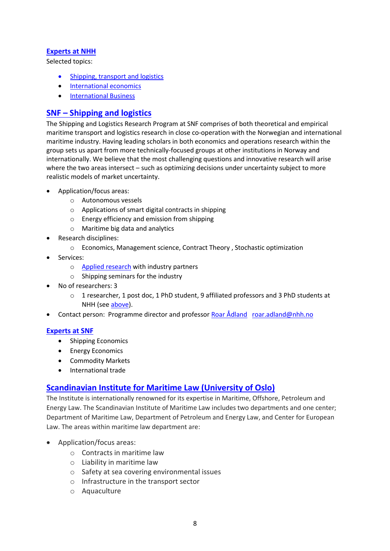## **[Experts at NHH](https://www.nhh.no/en/about-nhh/for-media/)**

Selected topics:

- [Shipping, transport and logistics](https://www.nhh.no/en/search/?ct=researchers&q=shipping%2Ctransport%2C+logistics)
- [International economics](https://www.nhh.no/en/search/?ct=researchers&q=%22international+economics%22)
- [International Business](https://www.nhh.no/en/search/?q=%22international+business%22&ct=researchers)

## <span id="page-7-0"></span>**SNF – [Shipping and logistics](https://www.snf.no/Research-Programs/Shipping-and-Logistics.aspx)**

The Shipping and Logistics Research Program at SNF comprises of both theoretical and empirical maritime transport and logistics research in close co-operation with the Norwegian and international maritime industry. Having leading scholars in both economics and operations research within the group sets us apart from more technically-focused groups at other institutions in Norway and internationally. We believe that the most challenging questions and innovative research will arise where the two areas intersect – such as optimizing decisions under uncertainty subject to more realistic models of market uncertainty.

- Application/focus areas:
	- o Autonomous vessels
	- o Applications of smart digital contracts in shipping
	- o Energy efficiency and emission from shipping
	- o Maritime big data and analytics
- Research disciplines:
	- o Economics, Management science, Contract Theory , Stochastic optimization
- Services:
	- o [Applied research](https://www.nhh.no/en/research-centres/shipping-and-logistics/research/funded-research-projects/) with industry partners
	- o Shipping seminars for the industry
- No of researchers: 3
	- $\circ$  1 researcher, 1 post doc, 1 PhD student, 9 affiliated professors and 3 PhD students at NHH (see [above\)](file:///C:/Users/kjr/AppData/Local/Microsoft/Windows/INetCache/Content.Outlook/NJXH3XCI/Forskningsmiljøer%20Maritime-innspil%20CSL%202.docx%23_NHH_-_Centre).
- Contact person: Programme director and professo[r Roar Ådland](https://www.nhh.no/en/employees/faculty/roar-os-adland/) [roar.adland@nhh.no](mailto:roar.adland@nhh.no)

### **[Experts at SNF](https://www.snf.no/Personnel/Haiying-Jia.aspx)**

- Shipping Economics
- Energy Economics
- Commodity Markets
- International trade

## <span id="page-7-1"></span>**Scandinavian Institute for Maritime Law (University of Oslo)**

The Institute is internationally renowned for its expertise in Maritime, Offshore, Petroleum and Energy Law. The Scandinavian Institute of Maritime Law includes two departments and one center; Department of Maritime Law, Department of Petroleum and Energy Law, and Center for European Law. The areas within maritime law department are:

- Application/focus areas:
	- o Contracts in maritime law
	- o Liability in maritime law
	- o Safety at sea covering environmental issues
	- o Infrastructure in the transport sector
	- o Aquaculture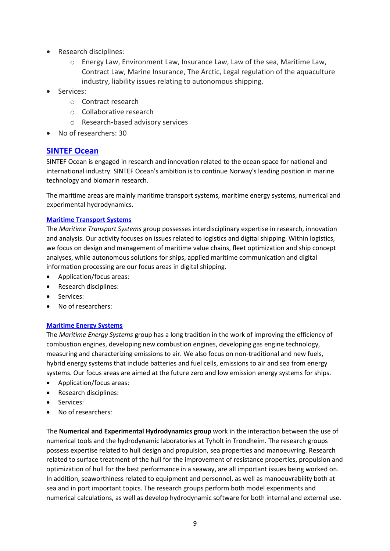- Research disciplines:
	- o Energy Law, Environment Law, Insurance Law, Law of the sea, Maritime Law, Contract Law, Marine Insurance, The [Arctic,](http://www.jus.uio.no/nifs/english/research/areas/arctic/) Legal regulation of the aquaculture industry, liability issues relating to autonomous shipping.
- Services:
	- o Contract research
	- o Collaborative research
	- o Research-based advisory services
- No of researchers: 30

## <span id="page-8-0"></span>**[SINTEF Ocean](https://www.sintef.no/en/ocean/)**

SINTEF Ocean is engaged in research and innovation related to the ocean space for national and international industry. SINTEF Ocean's ambition is to continue Norway's leading position in marine technology and biomarin research.

The maritime areas are mainly maritime transport systems, maritime energy systems, numerical and experimental hydrodynamics.

#### **[Maritime Transport Systems](https://www.sintef.no/maritime-transportsystemer/)**

The *Maritime Transport Systems* group possesses interdisciplinary expertise in research, innovation and analysis. Our activity focuses on issues related to logistics and digital shipping. Within logistics, we focus on design and management of maritime value chains, fleet optimization and ship concept analyses, while autonomous solutions for ships, applied maritime communication and digital information processing are our focus areas in digital shipping.

- Application/focus areas:
- Research disciplines:
- Services:
- No of researchers:

### **[Maritime Energy Systems](https://www.sintef.no/maritime-energisystemer/)**

The *Maritime Energy Systems* group has a long tradition in the work of improving the efficiency of combustion engines, developing new combustion engines, developing gas engine technology, measuring and characterizing emissions to air. We also focus on non-traditional and new fuels, hybrid energy systems that include batteries and fuel cells, emissions to air and sea from energy systems. Our focus areas are aimed at the future zero and low emission energy systems for ships.

- Application/focus areas:
- Research disciplines:
- Services:
- No of researchers:

The **Numerical and Experimental Hydrodynamics group** work in the interaction between the use of numerical tools and the hydrodynamic laboratories at Tyholt in Trondheim. The research groups possess expertise related to hull design and propulsion, sea properties and manoeuvring. Research related to surface treatment of the hull for the improvement of resistance properties, propulsion and optimization of hull for the best performance in a seaway, are all important issues being worked on. In addition, seaworthiness related to equipment and personnel, as well as manoeuvrability both at sea and in port important topics. The research groups perform both model experiments and numerical calculations, as well as develop hydrodynamic software for both internal and external use.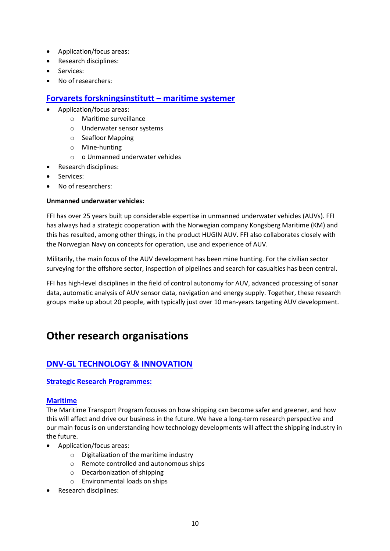- Application/focus areas:
- Research disciplines:
- Services:
- No of researchers:

# <span id="page-9-0"></span>**[Forvarets forskningsinstitutt](http://www2.ffi.no/maritime-systemer) – maritime systemer**

- Application/focus areas:
	- o Maritime surveillance
	- o Underwater sensor systems
	- o Seafloor Mapping
	- o Mine-hunting
	- o o Unmanned underwater vehicles
- Research disciplines:
- Services:
- No of researchers:

## **Unmanned underwater vehicles:**

FFI has over 25 years built up considerable expertise in unmanned underwater vehicles (AUVs). FFI has always had a strategic cooperation with the Norwegian company Kongsberg Maritime (KM) and this has resulted, among other things, in the product HUGIN AUV. FFI also collaborates closely with the Norwegian Navy on concepts for operation, use and experience of AUV.

Militarily, the main focus of the AUV development has been mine hunting. For the civilian sector surveying for the offshore sector, inspection of pipelines and search for casualties has been central.

FFI has high-level disciplines in the field of control autonomy for AUV, advanced processing of sonar data, automatic analysis of AUV sensor data, navigation and energy supply. Together, these research groups make up about 20 people, with typically just over 10 man-years targeting AUV development.

# <span id="page-9-1"></span>**Other research organisations**

# <span id="page-9-2"></span>**[DNV-GL TECHNOLOGY & INNOVATION](https://www.dnvgl.com/technology-innovation/index.html)**

### **[Strategic Research Programmes:](https://www.dnvgl.com/technology-innovation/sri/index.html)**

### **[Maritime](https://www.dnvgl.com/technology-innovation/sri/maritime-transport/index.html)**

The Maritime Transport Program focuses on how shipping can become safer and greener, and how this will affect and drive our business in the future. We have a long-term research perspective and our main focus is on understanding how technology developments will affect the shipping industry in the future.

- Application/focus areas:
	- o Digitalization of the maritime industry
	- o Remote controlled and autonomous ships
	- o Decarbonization of shipping
	- o Environmental loads on ships
- Research disciplines: